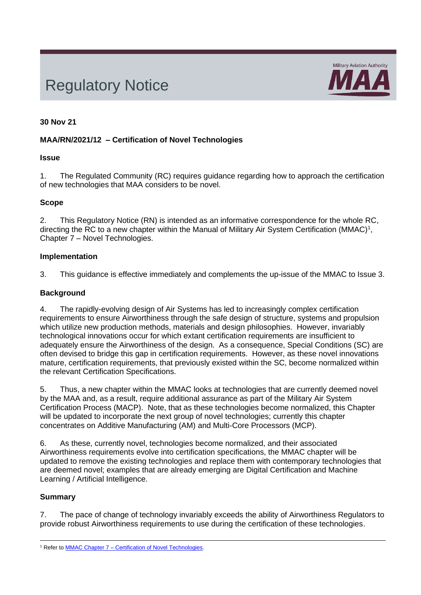# Regulatory Notice



## **30 Nov 21**

## **MAA/RN/2021/12 – Certification of Novel Technologies**

#### **Issue**

1. The Regulated Community (RC) requires guidance regarding how to approach the certification of new technologies that MAA considers to be novel.

#### **Scope**

2. This Regulatory Notice (RN) is intended as an informative correspondence for the whole RC, directing the RC to a new chapter within the Manual of Military Air System Certification (MMAC)<sup>1</sup>, Chapter 7 – Novel Technologies.

#### **Implementation**

3. This guidance is effective immediately and complements the up-issue of the MMAC to Issue 3.

#### **Background**

4. The rapidly-evolving design of Air Systems has led to increasingly complex certification requirements to ensure Airworthiness through the safe design of structure, systems and propulsion which utilize new production methods, materials and design philosophies. However, invariably technological innovations occur for which extant certification requirements are insufficient to adequately ensure the Airworthiness of the design. As a consequence, Special Conditions (SC) are often devised to bridge this gap in certification requirements. However, as these novel innovations mature, certification requirements, that previously existed within the SC, become normalized within the relevant Certification Specifications.

5. Thus, a new chapter within the MMAC looks at technologies that are currently deemed novel by the MAA and, as a result, require additional assurance as part of the Military Air System Certification Process (MACP). Note, that as these technologies become normalized, this Chapter will be updated to incorporate the next group of novel technologies; currently this chapter concentrates on Additive Manufacturing (AM) and Multi-Core Processors (MCP).

6. As these, currently novel, technologies become normalized, and their associated Airworthiness requirements evolve into certification specifications, the MMAC chapter will be updated to remove the existing technologies and replace them with contemporary technologies that are deemed novel; examples that are already emerging are Digital Certification and Machine Learning / Artificial Intelligence.

#### **Summary**

7. The pace of change of technology invariably exceeds the ability of Airworthiness Regulators to provide robust Airworthiness requirements to use during the certification of these technologies.

<sup>1</sup> Refer to MMAC Chapter 7 – [Certification of Novel Technologies.](https://www.gov.uk/government/publications/manual-of-military-air-system-certification-mmac)